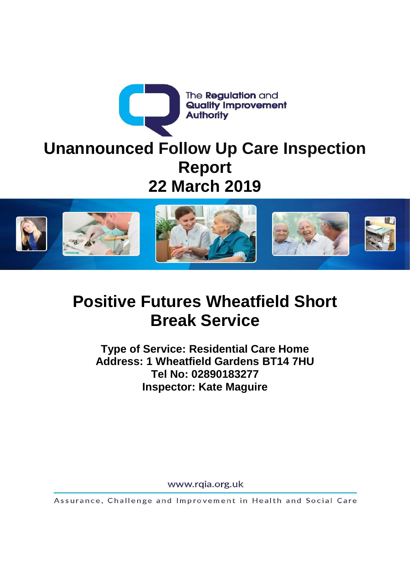



# **Positive Futures Wheatfield Short Break Service**

**Type of Service: Residential Care Home Address: 1 Wheatfield Gardens BT14 7HU Tel No: 02890183277 Inspector: Kate Maguire** 

www.rqia.org.uk

Assurance, Challenge and Improvement in Health and Social Care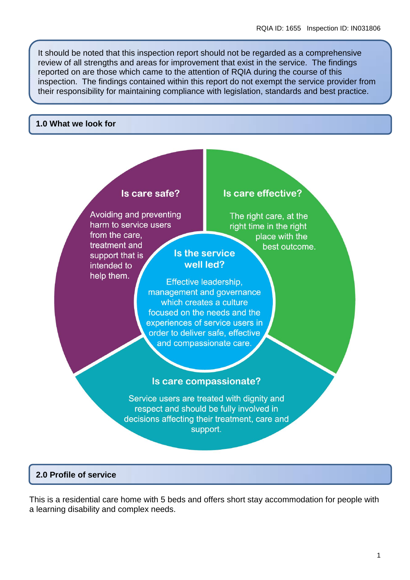It should be noted that this inspection report should not be regarded as a comprehensive review of all strengths and areas for improvement that exist in the service. The findings reported on are those which came to the attention of RQIA during the course of this inspection. The findings contained within this report do not exempt the service provider from their responsibility for maintaining compliance with legislation, standards and best practice.

#### **1.0 What we look for**

# Is care safe?

Avoiding and preventing harm to service users from the care. treatment and support that is intended to help them.

# Is care effective?

The right care, at the right time in the right place with the best outcome.

# Is the service well led?

Effective leadership, management and governance which creates a culture focused on the needs and the experiences of service users in order to deliver safe, effective and compassionate care.

### Is care compassionate?

Service users are treated with dignity and respect and should be fully involved in decisions affecting their treatment, care and support.

### **2.0 Profile of service**

This is a residential care home with 5 beds and offers short stay accommodation for people with a learning disability and complex needs.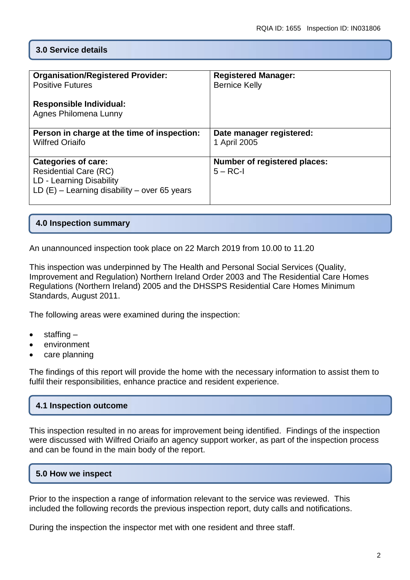## **3.0 Service details**

| <b>Organisation/Registered Provider:</b>                                                                                                 | <b>Registered Manager:</b>                        |
|------------------------------------------------------------------------------------------------------------------------------------------|---------------------------------------------------|
| <b>Positive Futures</b>                                                                                                                  | <b>Bernice Kelly</b>                              |
| <b>Responsible Individual:</b><br>Agnes Philomena Lunny                                                                                  |                                                   |
| Person in charge at the time of inspection:                                                                                              | Date manager registered:                          |
| <b>Wilfred Oriaifo</b>                                                                                                                   | 1 April 2005                                      |
| <b>Categories of care:</b><br><b>Residential Care (RC)</b><br>LD - Learning Disability<br>LD $(E)$ – Learning disability – over 65 years | <b>Number of registered places:</b><br>$5 - RC-1$ |

#### **4.0 Inspection summary**

An unannounced inspection took place on 22 March 2019 from 10.00 to 11.20

This inspection was underpinned by The Health and Personal Social Services (Quality, Improvement and Regulation) Northern Ireland Order 2003 and The Residential Care Homes Regulations (Northern Ireland) 2005 and the DHSSPS Residential Care Homes Minimum Standards, August 2011.

The following areas were examined during the inspection:

- staffing –
- environment
- care planning

The findings of this report will provide the home with the necessary information to assist them to fulfil their responsibilities, enhance practice and resident experience.

#### **4.1 Inspection outcome**

This inspection resulted in no areas for improvement being identified. Findings of the inspection were discussed with Wilfred Oriaifo an agency support worker, as part of the inspection process and can be found in the main body of the report.

#### **5.0 How we inspect**

Prior to the inspection a range of information relevant to the service was reviewed. This included the following records the previous inspection report, duty calls and notifications.

During the inspection the inspector met with one resident and three staff.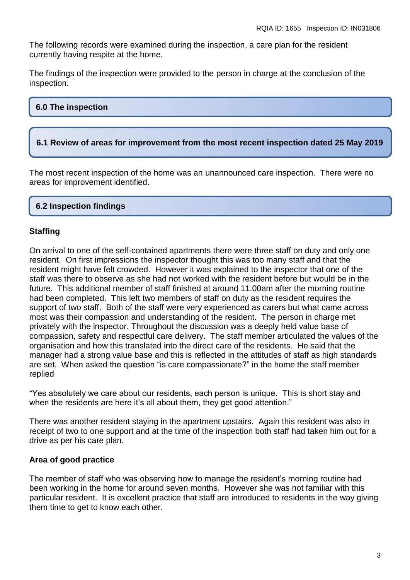The following records were examined during the inspection, a care plan for the resident currently having respite at the home.

The findings of the inspection were provided to the person in charge at the conclusion of the inspection.

# **6.0 The inspection**

#### **6.1 Review of areas for improvement from the most recent inspection dated 25 May 2019**

The most recent inspection of the home was an unannounced care inspection. There were no areas for improvement identified.

#### **6.2 Inspection findings**

#### **Staffing**

On arrival to one of the self-contained apartments there were three staff on duty and only one resident. On first impressions the inspector thought this was too many staff and that the resident might have felt crowded. However it was explained to the inspector that one of the staff was there to observe as she had not worked with the resident before but would be in the future. This additional member of staff finished at around 11.00am after the morning routine had been completed. This left two members of staff on duty as the resident requires the support of two staff. Both of the staff were very experienced as carers but what came across most was their compassion and understanding of the resident. The person in charge met privately with the inspector. Throughout the discussion was a deeply held value base of compassion, safety and respectful care delivery. The staff member articulated the values of the organisation and how this translated into the direct care of the residents. He said that the manager had a strong value base and this is reflected in the attitudes of staff as high standards are set. When asked the question "is care compassionate?" in the home the staff member replied

"Yes absolutely we care about our residents, each person is unique. This is short stay and when the residents are here it's all about them, they get good attention."

There was another resident staying in the apartment upstairs. Again this resident was also in receipt of two to one support and at the time of the inspection both staff had taken him out for a drive as per his care plan.

#### **Area of good practice**

The member of staff who was observing how to manage the resident's morning routine had been working in the home for around seven months. However she was not familiar with this particular resident. It is excellent practice that staff are introduced to residents in the way giving them time to get to know each other.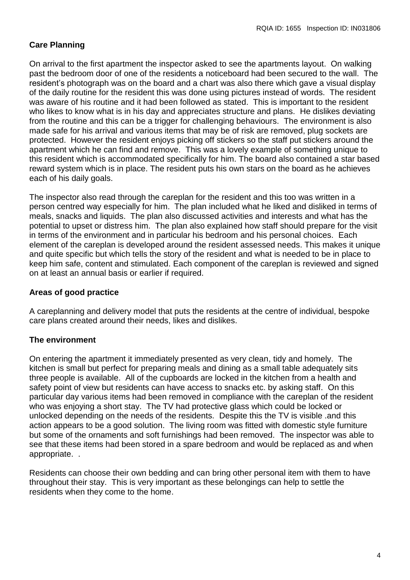# **Care Planning**

On arrival to the first apartment the inspector asked to see the apartments layout. On walking past the bedroom door of one of the residents a noticeboard had been secured to the wall. The resident's photograph was on the board and a chart was also there which gave a visual display of the daily routine for the resident this was done using pictures instead of words. The resident was aware of his routine and it had been followed as stated. This is important to the resident who likes to know what is in his day and appreciates structure and plans. He dislikes deviating from the routine and this can be a trigger for challenging behaviours. The environment is also made safe for his arrival and various items that may be of risk are removed, plug sockets are protected. However the resident enjoys picking off stickers so the staff put stickers around the apartment which he can find and remove. This was a lovely example of something unique to this resident which is accommodated specifically for him. The board also contained a star based reward system which is in place. The resident puts his own stars on the board as he achieves each of his daily goals.

The inspector also read through the careplan for the resident and this too was written in a person centred way especially for him. The plan included what he liked and disliked in terms of meals, snacks and liquids. The plan also discussed activities and interests and what has the potential to upset or distress him. The plan also explained how staff should prepare for the visit in terms of the environment and in particular his bedroom and his personal choices. Each element of the careplan is developed around the resident assessed needs. This makes it unique and quite specific but which tells the story of the resident and what is needed to be in place to keep him safe, content and stimulated. Each component of the careplan is reviewed and signed on at least an annual basis or earlier if required.

### **Areas of good practice**

A careplanning and delivery model that puts the residents at the centre of individual, bespoke care plans created around their needs, likes and dislikes.

#### **The environment**

On entering the apartment it immediately presented as very clean, tidy and homely. The kitchen is small but perfect for preparing meals and dining as a small table adequately sits three people is available. All of the cupboards are locked in the kitchen from a health and safety point of view but residents can have access to snacks etc. by asking staff. On this particular day various items had been removed in compliance with the careplan of the resident who was enjoying a short stay. The TV had protective glass which could be locked or unlocked depending on the needs of the residents. Despite this the TV is visible .and this action appears to be a good solution. The living room was fitted with domestic style furniture but some of the ornaments and soft furnishings had been removed. The inspector was able to see that these items had been stored in a spare bedroom and would be replaced as and when appropriate. .

Residents can choose their own bedding and can bring other personal item with them to have throughout their stay. This is very important as these belongings can help to settle the residents when they come to the home.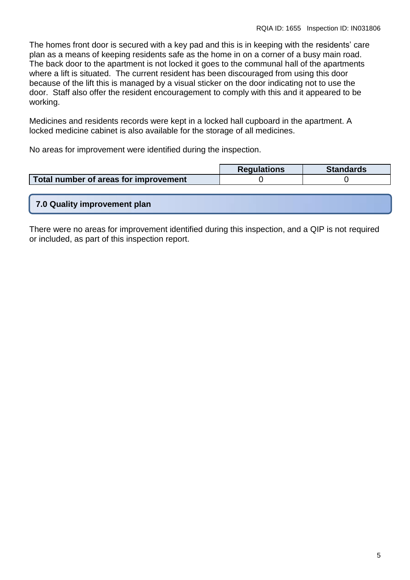The homes front door is secured with a key pad and this is in keeping with the residents' care plan as a means of keeping residents safe as the home in on a corner of a busy main road. The back door to the apartment is not locked it goes to the communal hall of the apartments where a lift is situated. The current resident has been discouraged from using this door because of the lift this is managed by a visual sticker on the door indicating not to use the door. Staff also offer the resident encouragement to comply with this and it appeared to be working.

Medicines and residents records were kept in a locked hall cupboard in the apartment. A locked medicine cabinet is also available for the storage of all medicines.

No areas for improvement were identified during the inspection.

|                                       | <b>Requlations</b> | <b>Standards</b> |
|---------------------------------------|--------------------|------------------|
| Total number of areas for improvement |                    |                  |

|  | 7.0 Quality improvement plan |  |
|--|------------------------------|--|
|  |                              |  |
|  |                              |  |

There were no areas for improvement identified during this inspection, and a QIP is not required or included, as part of this inspection report.